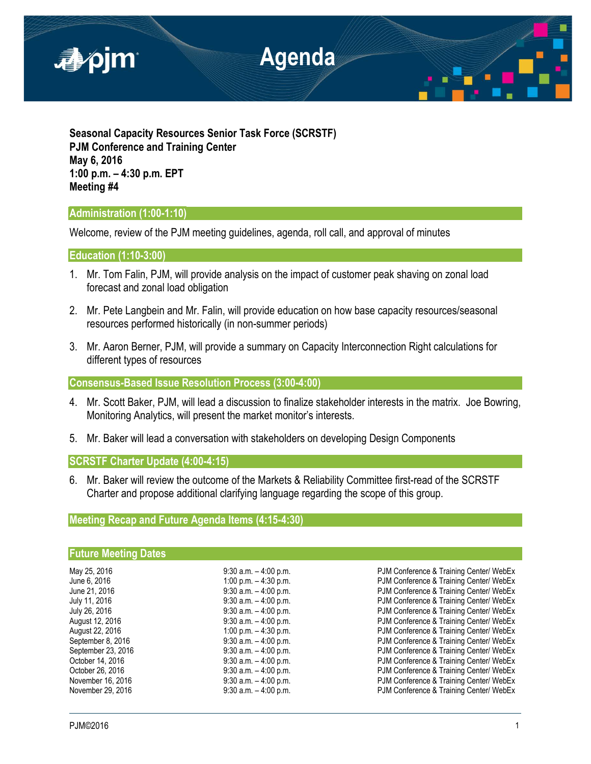

**Seasonal Capacity Resources Senior Task Force (SCRSTF) PJM Conference and Training Center May 6, 2016 1:00 p.m. – 4:30 p.m. EPT Meeting #4**

## **Administration (1:00-1:10)**

Welcome, review of the PJM meeting guidelines, agenda, roll call, and approval of minutes

**Education (1:10-3:00)**

- 1. Mr. Tom Falin, PJM, will provide analysis on the impact of customer peak shaving on zonal load forecast and zonal load obligation
- 2. Mr. Pete Langbein and Mr. Falin, will provide education on how base capacity resources/seasonal resources performed historically (in non-summer periods)
- 3. Mr. Aaron Berner, PJM, will provide a summary on Capacity Interconnection Right calculations for different types of resources

**Consensus-Based Issue Resolution Process (3:00-4:00)**

- 4. Mr. Scott Baker, PJM, will lead a discussion to finalize stakeholder interests in the matrix. Joe Bowring, Monitoring Analytics, will present the market monitor's interests.
- 5. Mr. Baker will lead a conversation with stakeholders on developing Design Components

**SCRSTF Charter Update (4:00-4:15)**

6. Mr. Baker will review the outcome of the Markets & Reliability Committee first-read of the SCRSTF Charter and propose additional clarifying language regarding the scope of this group.

# **Meeting Recap and Future Agenda Items (4:15-4:30)**

## **Future Meeting Dates**

| May 25, 2016       | $9:30$ a.m. $-4:00$ p.m. |
|--------------------|--------------------------|
| June 6, 2016       | 1:00 p.m. $-$ 4:30 p.m.  |
| June 21, 2016      | $9:30$ a.m. $-4:00$ p.m. |
| July 11, 2016      | $9:30$ a.m. $-4:00$ p.m. |
| July 26, 2016      | $9:30$ a.m. $-4:00$ p.m. |
| August 12, 2016    | $9:30$ a.m. $-4:00$ p.m. |
| August 22, 2016    | 1:00 p.m. $-$ 4:30 p.m.  |
| September 8, 2016  | $9:30$ a.m. $-4:00$ p.m. |
| September 23, 2016 | $9:30$ a.m. $-4:00$ p.m. |
| October 14, 2016   | $9:30$ a.m. $-4:00$ p.m. |
| October 26, 2016   | $9:30$ a.m. $-4:00$ p.m. |
| November 16, 2016  | $9:30$ a.m. $-4:00$ p.m. |
| November 29, 2016  | $9:30$ a.m. $-4:00$ p.m. |

PJM Conference & Training Center/ WebEx PJM Conference & Training Center/ WebEx PJM Conference & Training Center/ WebEx PJM Conference & Training Center/ WebEx PJM Conference & Training Center/ WebEx PJM Conference & Training Center/ WebEx PJM Conference & Training Center/ WebEx PJM Conference & Training Center/ WebEx PJM Conference & Training Center/ WebEx PJM Conference & Training Center/ WebEx PJM Conference & Training Center/ WebEx PJM Conference & Training Center/ WebEx PJM Conference & Training Center/ WebEx